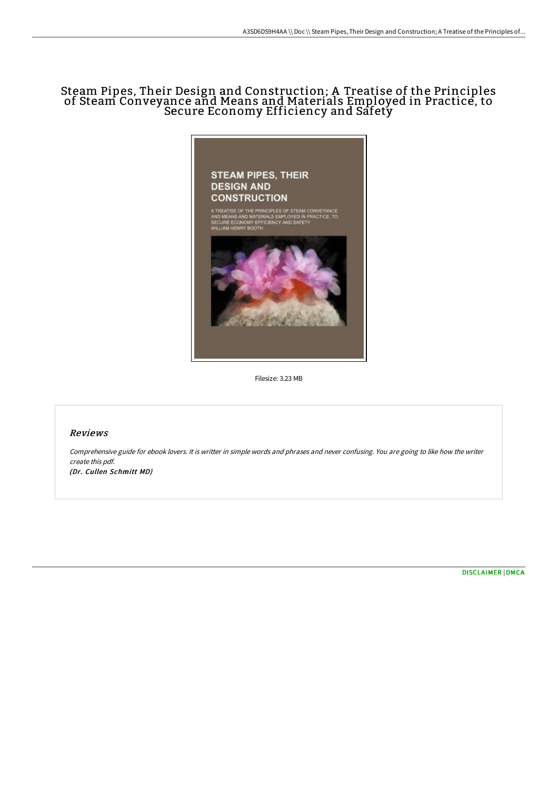# Steam Pipes, Their Design and Construction; A Treatise of the Principles of Steam Conveyance and Means and Materials Employed in Practice, to Secure Economy Efficiency and Safety



Filesize: 3.23 MB

## Reviews

Comprehensive guide for ebook lovers. It is writter in simple words and phrases and never confusing. You are going to like how the writer create this pdf. (Dr. Cullen Schmitt MD)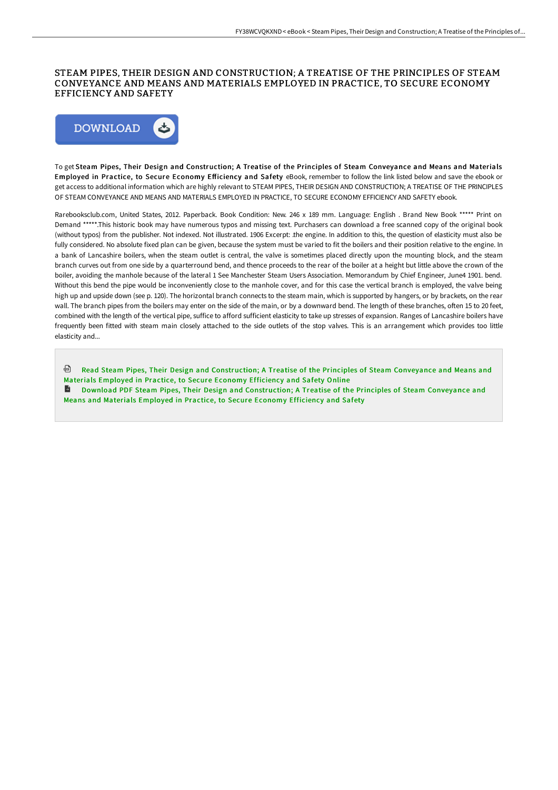### STEAM PIPES, THEIR DESIGN AND CONSTRUCTION; A TREATISE OF THE PRINCIPLES OF STEAM CONVEYANCE AND MEANS AND MATERIALS EMPLOYED IN PRACTICE, TO SECURE ECONOMY EFFICIENCY AND SAFETY



To get Steam Pipes, Their Design and Construction; A Treatise of the Principles of Steam Conveyance and Means and Materials Employed in Practice, to Secure Economy Efficiency and Safety eBook, remember to follow the link listed below and save the ebook or get access to additional information which are highly relevant to STEAM PIPES, THEIR DESIGN AND CONSTRUCTION; A TREATISE OF THE PRINCIPLES OF STEAM CONVEYANCE AND MEANS AND MATERIALS EMPLOYED IN PRACTICE, TO SECURE ECONOMY EFFICIENCY AND SAFETY ebook.

Rarebooksclub.com, United States, 2012. Paperback. Book Condition: New. 246 x 189 mm. Language: English . Brand New Book \*\*\*\*\* Print on Demand \*\*\*\*\*.This historic book may have numerous typos and missing text. Purchasers can download a free scanned copy of the original book (without typos) from the publisher. Not indexed. Not illustrated. 1906 Excerpt: .the engine. In addition to this, the question of elasticity must also be fully considered. No absolute fixed plan can be given, because the system must be varied to fit the boilers and their position relative to the engine. In a bank of Lancashire boilers, when the steam outlet is central, the valve is sometimes placed directly upon the mounting block, and the steam branch curves out from one side by a quarterround bend, and thence proceeds to the rear of the boiler at a height but little above the crown of the boiler, avoiding the manhole because of the lateral 1 See Manchester Steam Users Association. Memorandum by Chief Engineer, June4 1901. bend. Without this bend the pipe would be inconveniently close to the manhole cover, and for this case the vertical branch is employed, the valve being high up and upside down (see p. 120). The horizontal branch connects to the steam main, which is supported by hangers, or by brackets, on the rear wall. The branch pipes from the boilers may enter on the side of the main, or by a downward bend. The length of these branches, often 15 to 20 feet, combined with the length of the vertical pipe, suffice to afford sufficient elasticity to take up stresses of expansion. Ranges of Lancashire boilers have frequently been fitted with steam main closely attached to the side outlets of the stop valves. This is an arrangement which provides too little elasticity and...

Read Steam Pipes, Their Design and [Construction;](http://www.bookdirs.com/steam-pipes-their-design-and-construction-a-trea-1.html) A Treatise of the Principles of Steam Conveyance and Means and Materials Employed in Practice, to Secure Economy Efficiency and Safety Online

Download PDF Steam Pipes, Their Design and [Construction;](http://www.bookdirs.com/steam-pipes-their-design-and-construction-a-trea-1.html) A Treatise of the Principles of Steam Conveyance and Means and Materials Employed in Practice, to Secure Economy Efficiency and Safety